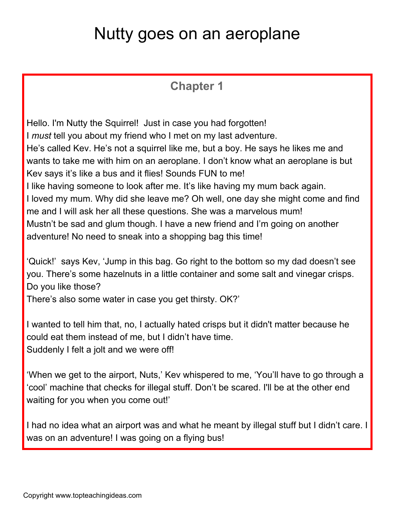## Nutty goes on an aeroplane

## **Chapter 1**

Hello. I'm Nutty the Squirrel! Just in case you had forgotten! I *must* tell you about my friend who I met on my last adventure. He's called Kev. He's not a squirrel like me, but a boy. He says he likes me and wants to take me with him on an aeroplane. I don't know what an aeroplane is but Kev says it's like a bus and it flies! Sounds FUN to me! I like having someone to look after me. It's like having my mum back again. I loved my mum. Why did she leave me? Oh well, one day she might come and find me and I will ask her all these questions. She was a marvelous mum! Mustn't be sad and glum though. I have a new friend and I'm going on another adventure! No need to sneak into a shopping bag this time!

'Quick!' says Kev, 'Jump in this bag. Go right to the bottom so my dad doesn't see you. There's some hazelnuts in a little container and some salt and vinegar crisps. Do you like those? There's also some water in case you get thirsty. OK?'

I wanted to tell him that, no, I actually hated crisps but it didn't matter because he could eat them instead of me, but I didn't have time. Suddenly I felt a jolt and we were off!

'When we get to the airport, Nuts,' Kev whispered to me, 'You'll have to go through a 'cool' machine that checks for illegal stuff. Don't be scared. I'll be at the other end waiting for you when you come out!'

I had no idea what an airport was and what he meant by illegal stuff but I didn't care. I was on an adventure! I was going on a flying bus!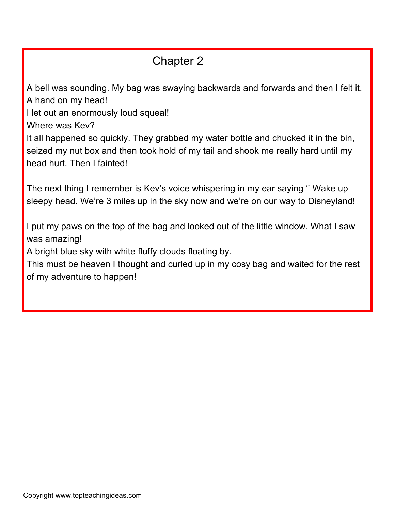## Chapter 2

A bell was sounding. My bag was swaying backwards and forwards and then I felt it. A hand on my head!

I let out an enormously loud squeal!

Where was Kev?

It all happened so quickly. They grabbed my water bottle and chucked it in the bin, seized my nut box and then took hold of my tail and shook me really hard until my head hurt. Then I fainted!

The next thing I remember is Kev's voice whispering in my ear saying '' Wake up sleepy head. We're 3 miles up in the sky now and we're on our way to Disneyland!

I put my paws on the top of the bag and looked out of the little window. What I saw was amazing!

A bright blue sky with white fluffy clouds floating by.

This must be heaven I thought and curled up in my cosy bag and waited for the rest of my adventure to happen!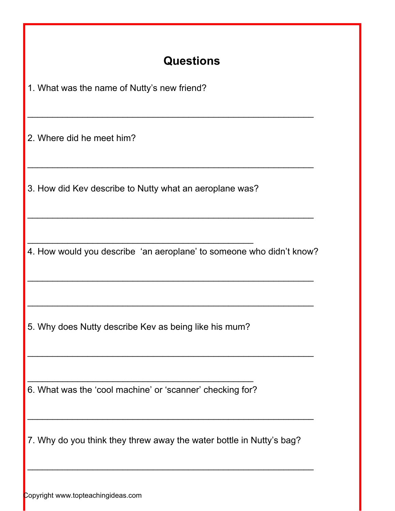## **Questions**

1. What was the name of Nutty's new friend?

2. Where did he meet him?

3. How did Kev describe to Nutty what an aeroplane was?

 $\overline{\phantom{a}}$  , and the contribution of the contribution of  $\overline{\phantom{a}}$ 

4. How would you describe 'an aeroplane' to someone who didn't know?

 $\overline{\phantom{a}}$  , and the contribution of the contribution of the contribution of the contribution of the contribution of the contribution of the contribution of the contribution of the contribution of the contribution of the

 $\overline{\phantom{a}}$  , and the contribution of the contribution of the contribution of the contribution of the contribution of the contribution of the contribution of the contribution of the contribution of the contribution of the

 $\overline{\phantom{a}}$  , and the contribution of the contribution of the contribution of the contribution of the contribution of the contribution of the contribution of the contribution of the contribution of the contribution of the

 $\overline{\phantom{a}}$  , and the contribution of the contribution of the contribution of the contribution of the contribution of the contribution of the contribution of the contribution of the contribution of the contribution of the

 $\overline{\phantom{a}}$  , and the contribution of the contribution of the contribution of the contribution of the contribution of the contribution of the contribution of the contribution of the contribution of the contribution of the

 $\overline{\phantom{a}}$  , and the contribution of the contribution of the contribution of the contribution of the contribution of the contribution of the contribution of the contribution of the contribution of the contribution of the

5. Why does Nutty describe Kev as being like his mum?

 $\overline{\phantom{a}}$  , and the contribution of the contribution of  $\overline{\phantom{a}}$ 6. What was the 'cool machine' or 'scanner' checking for?

7. Why do you think they threw away the water bottle in Nutty's bag?

 $\overline{\phantom{a}}$  , and the contribution of the contribution of the contribution of the contribution of the contribution of the contribution of the contribution of the contribution of the contribution of the contribution of the

 $\overline{\phantom{a}}$  , and the contribution of the contribution of the contribution of the contribution of the contribution of the contribution of the contribution of the contribution of the contribution of the contribution of the

Copyright www.topteachingideas.com